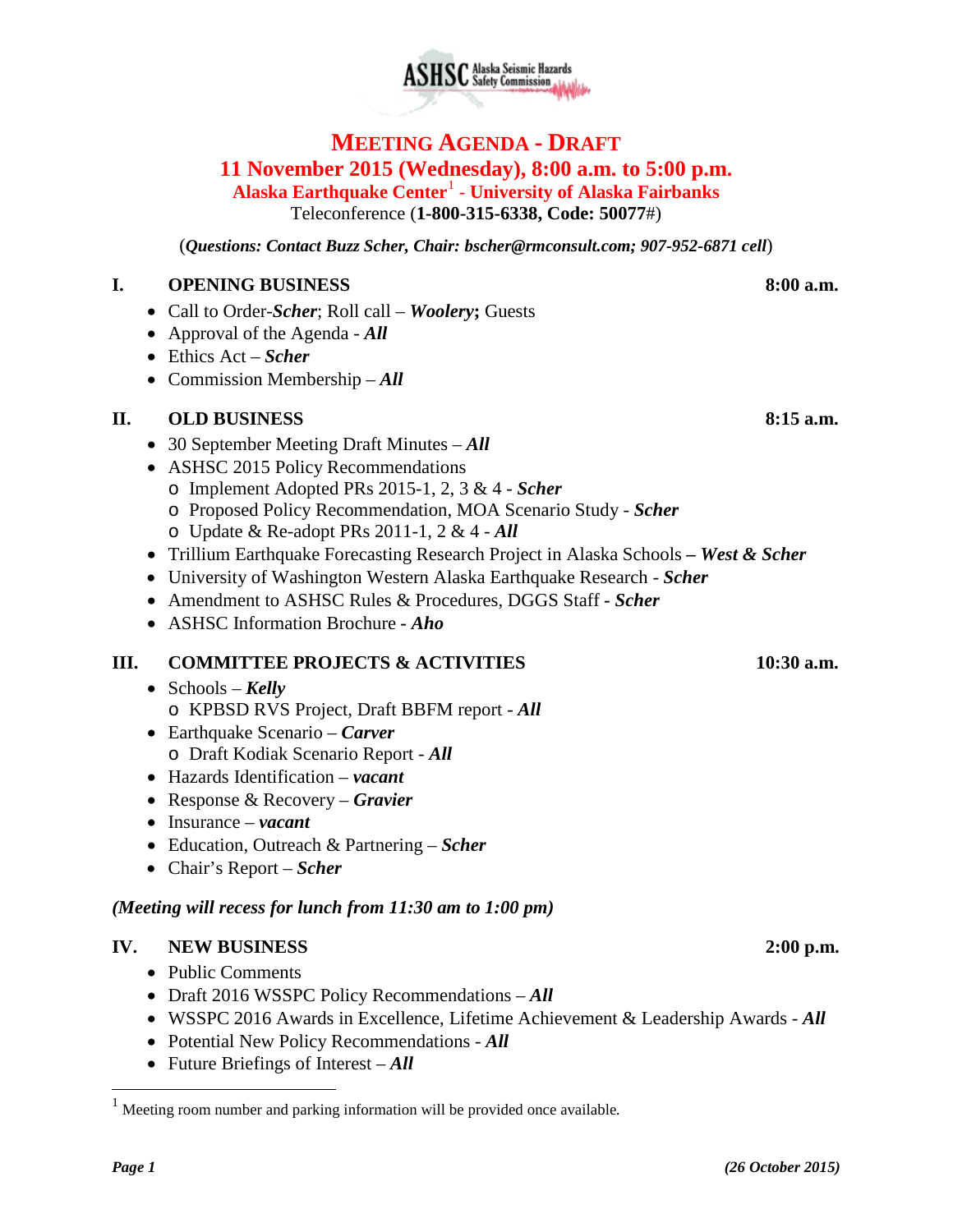# **ASHSC** Alaska Seismic Hazards

# **MEETING AGENDA - DRAFT 11 November 2015 (Wednesday), 8:00 a.m. to 5:00 p.m. Alaska Earthquake Center**[1](#page-0-0) - **University of Alaska Fairbanks**

Teleconference (**1-800-315-6338, Code: 50077**#)

(*Questions: Contact Buzz Scher, Chair: [bscher@rmconsult.com;](mailto:bscher@rmconsult.com) 907-952-6871 cell*)

#### **I. OPENING BUSINESS 8:00 a.m.**

- Call to Order-*Scher*; Roll call *Woolery***;** Guests
- Approval of the Agenda *All*
- Ethics Act *Scher*
- Commission Membership *All*

# **II. OLD BUSINESS 8:15 a.m.**

- 30 September Meeting Draft Minutes *All*
- ASHSC 2015 Policy Recommendations
	- o Implement Adopted PRs 2015-1, 2, 3 & 4 *Scher*
	- o Proposed Policy Recommendation, MOA Scenario Study *Scher*
	- o Update & Re-adopt PRs 2011-1, 2 & 4 *All*
- Trillium Earthquake Forecasting Research Project in Alaska Schools *– West & Scher*
- University of Washington Western Alaska Earthquake Research *Scher*
- Amendment to ASHSC Rules & Procedures, DGGS Staff *- Scher*
- ASHSC Information Brochure *- Aho*

# **III. COMMITTEE PROJECTS & ACTIVITIES 10:30 a.m.**

- Schools *Kelly* o KPBSD RVS Project, Draft BBFM report - *All*
- Earthquake Scenario *Carver* o Draft Kodiak Scenario Report - *All*
- Hazards Identification *vacant*
- Response & Recovery *Gravier*
- Insurance *vacant*
- Education, Outreach & Partnering *Scher*
- Chair's Report *Scher*

## *(Meeting will recess for lunch from 11:30 am to 1:00 pm)*

## **IV. NEW BUSINESS 2:00 p.m.**

- Public Comments
- Draft 2016 WSSPC Policy Recommendations *All*
- WSSPC 2016 Awards in Excellence, Lifetime Achievement & Leadership Awards *All*
- Potential New Policy Recommendations *All*
- Future Briefings of Interest *All*

<span id="page-0-0"></span> <sup>1</sup> Meeting room number and parking information will be provided once available*.*